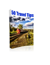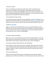# 1. Do your research.

If you are traveling to any place for the first time, then you should do your research on the subject. You should gather information about the country's culture, learn more about their language, check out the prices of products, and more. By getting valuable data about your destination, you can ensure you have a glorious trip if it would be for business or pleasure.

2. Do not book at the last minute.

last minute booking can happen if you are traveling on business. However, if it is a holiday with your family, then you should book early. [Booking a trip](https://clnk.in/j0gD) ahead of time means not only save more money but also means that you are able to plan well.

3. When to **book flight**.

Flights are always more affordable when you [book](https://linksredirect.com/?cid=66618&source=linkkit&url=https%3A%2F%2Fwww.makemytrip.com%2Fflights) it months before you travel. However, you can also save more money, if you schedule your vacation during off season. Research more about your destination, so that you would know when is the best time to visit it, in terms of affordability.

4. Tell your friends and relatives.

Before you travel, you should inform your friends and relatives about it. This way, they can give you a better idea of the place you are visiting. Aside from that, they know where or how to get in contact with you, just in case of emergency.

5. Know the necessary requirements for your destination.

If you visiting a country, they may require a passport, while others also require a visa. It is best that you know the needs of your destination about this, so you can prepare in advance. Keep in mind that these documents may take some time to acquire or renew.

6. Get vaccinated in time.

There are some countries that lead to vaccinated for certain diseases, before granting access to their land. Therefore, it is best that you learn more about them,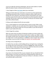so you can make the necessary preparations. Get your shots weeks or months before the date of travel, so that you will not have to run.

7. Don't forget to inform [your banks](https://clnk.in/j0hd) about your travel plans.

Telling your banks about your travel plans can prevent you from experiencing something inconvenient when it comes to using you credit or debit cards in a foreign land. This is because, some banks may put a fraud hold on your cards, once they realize that the cards are used overseas. By informing them where you would go, they can put a note on your account, so that you can continue using your cards, without hassles.

8. Bring a small notebook that fits into your pocket.

Carry a small notebook can come handy when it comes to travel. With a small notebook or notebook, you can easily note of the important things to remember along the way. You want to make sure it fits your pocket, so you will not have to hold it in your hands all the time.

9. Don't forget the numbers.

When you travel, there are plenty of important numbers you want to take note. Some of which would be their itinerary confirmation number, your flight number, the number of hotel room, the number of [flight](https://linksredirect.com/?cid=66618&source=linkkit&url=https%3A%2F%2Fwww.makemytrip.com%2Fflights) seats and lots of phone numbers you might need. to write everything in a notebook or piece of paper that can fit in your pocket, so you can refer to it easily. Be ready for non-working mobile.

10. Bring a carry-on bag with you.

It is better if you can take a small handbag with you during the trip. In doing this, you actually save some money when it comes to baggage fees. Other than that, you can offer an easier way to keep track of your important documents and other important things, putting them in your hand luggage.

11. Don't forget your computer files.

If you have a lot of important files on your computer, then you should back them before leaving. In this way, you would not be risking losing them while you are traveling. Make sure though that you keep your backup in a safe place, so that no one would be able to access them.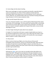12. Access blogs and sites about traveling.

More access web pages on travel can provide more benefits, especially when it comes to enjoying your trip. Many of these websites provide important information about certain places you can visit during your visit to a particular country. With this, you would be able to plan your trip better knowing what places to go and places to visit to enjoy sumptuous meals.

13. Sign up with frequent flyer points.

if you are a frequent traveller or not, until the signing of bills frequent flyer points can provide a lot of advantages. The more points you would be able to accumulate more money you may be able to save on their future travel plans. Just make sure that your account is properly updated with frequent flyer points, so you can take advantage of it soon.

14. Never forget checking the expiry date of your passport.

it is better if it is found that at the least a couple of weeks before you travel, so you still have enough time to renew it just in case. Other than that, keep in mind that some countries may require a minimum of 6 months left on your passport before it expires in order to allow the visit.

# 15. Shop around.

When it comes to book your flights, do not buy that you find yourself immediately. Shop around first, until you can find the best deals. Note that there are plenty of travel sites to book their flights to depart; and which they are in constant competition against each other, which means they are doing everything possible to get excellent deals.

#### 16. Selecting your seats.

Selecting your [flight,](https://linksredirect.com/?cid=66618&source=linkkit&url=https%3A%2F%2Fwww.makemytrip.com%2Fflights) train or bus seats can actually be done days before your actual travel date . Although this may depend on the type of operator you are booking it from, most of them offer seat selection online. Therefore, instead of waiting for the day to take the flight, select your favourite seats online ahead of time, so that you would have utmost comfort in traveling.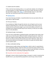## 17. Double check the website.

If this is the first time booking online, or on a particular website, do not forget to re-check whether it is really a legitimate site to buy a ticket. One way is to see if the web address begins with ["https: //"](https://linksredirect.com/?cid=66618&source=linkkit&url=https%3A%2F%2Fwww.makemytrip.com%2Fflights) which basically means it is safe. Other than that, you should also look at the comments on the matter.

### 18. [Booking online.](https://linksredirect.com/?cid=66618&source=linkkit&url=https%3A%2F%2Fwww.makemytrip.com%2Fflights)

If you have hard copy of tickets, it would be better but once you book online, we have ticket on SMS and Mail.

### 19. Print your itinerary.

If you booked your flights through the internet, do not forget to print out your itinerary confirmation for it. If you don't have a printer at your house, you can simply email the confirmation page to your own email address and print it out someplace else. Bring the printed copy of your itinerary, so that you can simply show it to the attendants.

## 20. Booking through a travel agency.

If you are more comfortable in booking through a travel agency than online, then make sure to check the price difference before making the payment. Aside from that, don't forget to tell the agent about what you want to have on your trip, so that he can setup an itinerary that would suit you best. Moreover, make sure to ask necessary questions to the agent, since they are usually very familiar about certain vacation spots.

# 21. Wear comfortable clothing.

Going overseas usually involves very long [flights](https://linksredirect.com/?cid=66618&source=linkkit&url=https%3A%2F%2Fwww.makemytrip.com%2Fflights), which is why it is a good idea to wear comfortable clothing. Aside from that, you should also bring a jacket so that you won't feel cold. Moreover, for women, it is best to wear flat shoes, so that you won't have difficulties in boarding and getting off the aircraft.

# 22. Be positive, but be ready about the negatives.

Although it is best to think of positive things in transport, in order to maximize the benefits from it, you should still be prepared for some hiccups. Some of which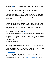may include [flight](https://clnk.in/j0gM) delays, sick, lost, and such. Therefore, you should always carry cash in small amounts, flash lights, medicines and cell phone.

23. Convert your money into the currency of the country you are visiting.

Days or weeks before you take your trip, it is a good idea to convert some of your money into the currency of the country you are visiting. This way, you won't get stuck with no local money to pay for the first few expenses you would make after arriving. One example of the expense you may incur is paying the taxi cab on your way to the hotel.

24. Don't put all your eggs in one basket.

In traveling to a country that you are not very familiar with, it is best not to keep all your money in one location. This way, just in case you get unlucky and become a victim of a pickpocket, then it wouldn't hurt so much. Aside from that, make sure not to show too much money in public, since you might become the next target for thieves.

25. The number of nights to stay at a [hotel.](https://clnk.in/j0gD)

If you are not very sure about the **hotel** that you are booking, then you should not book it for more than two nights, even if your trip runs for 5 days. This way, you are assured that you have a place to stay for the first 2 nights in the country. Aside from that, if you don't like the accommodation, then you will have enough time to find another one.

26. Talking with strangers.

When you travel, if you go for a business trip or not, you may find yourself chatting with the passenger next to him on the plane or at the airport. Although this is not a bad practice, you should be cautious when it comes to the information Giveaway. Be sure not to tell the other person all your plans or where you are, and another may be listening to take advantage of it.

# 27. [Booking a hotel.](https://linksredirect.com/?cid=66618&source=linkkit&url=https%3A%2F%2Fwww.makemytrip.com%2Fhotels%2F)

Booking for your hotel accommodations can now be done through the internet. One of the best things about it is that, there are several websites, which can offer you fabulous hotel deals. Some of them are [Cleartrip](https://linksredirect.com/?cid=66618&source=linkkit&url=https%3A%2F%2Fwww.cleartrip.com%2F) , [Makemytrip](https://clnk.in/j0gC) .Aside from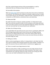that, they usually showcase pictures of the accommodations, as well as testimonies that can all help you choose the best one for you.

28. Be mindful of the location.

When you [book a hotel,](https://linksredirect.com/?cid=66618&source=linkkit&url=https%3A%2F%2Fwww.makemytrip.com%2Fhotels%2F) don't just base it on the prices of its rooms or the beauty of its pictures. You should also be mindful of its location. Make sure that it is quite near to places that you are interested in. Aside from that, it should also be near to a restaurant, an ATM machine, convenience store, and a pharmacy.

### 29. Always pack light.

No matter how short or long your vacation would be, it is always best to pack light. Carry only the necessary number of shirts and pants, and simply wash them in case you need. Just focus on the most important things for, anyway, most of the items you may need later can be purchased at your destination.

30. Make a list of things to bring.

Just a week before the start of the journey must come to a packing list. Make a list from the beginning possible help to ensure that you do not forget anything, because you can always add more into it, every time I think of other items to carry. Consult your list from time to time, so you can ensure that you are able to list all the things you need.

#### 31. Rolling your clothes.

When it comes to packing your clothes, it's always better to roll rather than fold. This is due to roll their shirts and pants prevent too many wrinkles. Therefore, it is given the assurance that you would be able to maximize your luggage space.

32. There is no need to carry large amounts of cash.

When you travel, there is really no need for you to carry large amounts of cash. Most countries these days actually have ATMs everywhere, that make it more convenient for you to get the money you need. Just be sure to bring your ATM card, so you can make a withdrawal at any time you need.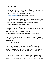33. Bring your own snacks.

Before finalizing your decision about a particular flight, check if a meal is offered during the flight or not. If the flight does not offer it, then you should bring your own food, like a sandwich. In doing this, you would be able to prevent yourself from paying exorbitant prices for meals offered on board.

34. [Book a whole package](https://linksredirect.com/?cid=66618&source=linkkit&url=https%3A%2F%2Fwww.makemytrip.com%2Fhotels%2F) instead of booking them separately.

If you want to take advantage of big discounts, then you should book a whole package. Booking a complete package that offers an opportunity to get the best deals. This is because, most online travel sites offer more discounts on book flights, [hotel](https://clnk.in/j0gD) accommodations and car together, rather than separately.

35. Being in a country for a shorter period of time.

If you are planning to be in a particular country for only a short period of time, then you should avoid foods that are not very familiar. You should also stay away from drinks that you can get to feel sick. This is because, may not have time to recover from it before having to take a trip home go.

36. Learn more about the local cuisine before visiting a certain country.

Before making a trip to a foreign country, you should learn more about their local food. In this way, you would be able to determine what types of local foods to be tested. Note that a trip to a foreign country will not be complete without sampling local specialties.

37. Bring your antihistamines.

If you are allergic to certain things, then you do not forget to bring your own medication for it. Although you can probably buy antihistamines at local pharmacies, it's even better if you can bring your own. The reason for this is that, which may take some time to get to the pharmacy. Therefore, if you have your own medicine, you would be able to get relief from your allergies before.

38. Don't leave your wallet and important documents at your hotel room.

Although you are booking a five-star hotel, you can never be too sure of their staff who are tasked to clean your room. Note that in most cases, the cleaning staff cleaned the room when you are not around. Although most of them are honest,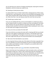you can decrease your chances of making something bad, reducing the minimum temptation, and do not leave your wallet to see.

39. Checking out hotel pictures online.

It is always better if you can book a hotel online, showing pictures of their rooms, meeting rooms, swimming pools, and more. By controlling the photographs of the hotel, which would be able to better decide if you really want accommodation or not. Other than that, it can also help you select the room that suit you best.

40. Transferring to another hotel.

If you are not satisfied with the current accommodation in a hotel if you stay in, you can always transfer to another, as long as you have not booked for the whole week. However, this may also depend on the policy of the hotel. Therefore, you should correctly read their terms and conditions before booking the room, so you can still make some changes at the last minute.

41. If you are not too sure about the hotel staff.

If you do not feel too sure about the hotel staff or cleaning staff, then you should make your room appear occupied when you leave it. This basically means that leave the air conditioning, TV and lights on even when you are not. Thus, people who enter might think that you are around and hesitate to do something bad.

42. Take note of the hotel details on your phone.

It is very important that you take note of the details of the hotel, especially if you are in an unfamiliar city. Some of the details you want to include would be your name, address and telephone number. In doing this, you would be able to find your way back if they are lost.

43.Do not forget to confirm your [hotel](https://linksredirect.com/?cid=66618&source=linkkit&url=https%3A%2F%2Fwww.fabhotels.com%2F) reservation a day before leaving.

Keep in mind that even if you booked your hotel reservation online, and having a confirmation number for it, there is still a small chance that was overlooked. To ensure that you really have a place to stay at your destination, you should call the hotel one day before traveling. This way, you can not only confirm your reservation, but also ensure that you will have the kind of room that you really want.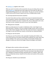44. [Booking a car](https://clnk.in/j0gE) together with a hotel.

When you want to be able to drive around the city you are visiting, then you may want to [book a car](https://clnk.in/j0gE) along with your hotel. Make sure if the hotel can offer you a designated parking space for your rental vehicle. This way, you can be sure that it is safe, and you will not have to spend much time in finding a place to park.

45. Accessing important documents anywhere.

You never know when you have a need to have access to important documents such as passports, itinerary confirmations or visas. Therefore, it is better if you can access them anywhere you want. To achieve this, all you really need to do is scan, save them on your computer and send it to your own email address.

46. Taking pictures of people.

Before you take pictures of a couple or individuals certain, never forget to ask them permission. Therefore, if you are visiting a foreign country, then you have to know a little of their language. Other than that, when permission is requested, do not forget to smile and show your camera, so that they can understand better.

47. Bring your own first aid kit.

You bring your own first aid kit is vital, especially if traveling with children. You must ensure that your first aid kit contains all the medicines you need, which may not be available in the country you are visiting. If some family members have allergies or asthma are, then do not forget to take anti allergies, and inhalers.

48. Respect other countries culture and customs.

If you want to be respected by the people as a traveller, then you must respect the customs and culture of their countries. To do this, you have to see what you and your colleagues are doing and saying, especially when it is outdoors. Other than that, you should also do your research on the culture and customs of the country in advance.

49. Bring your checklist to your destination.